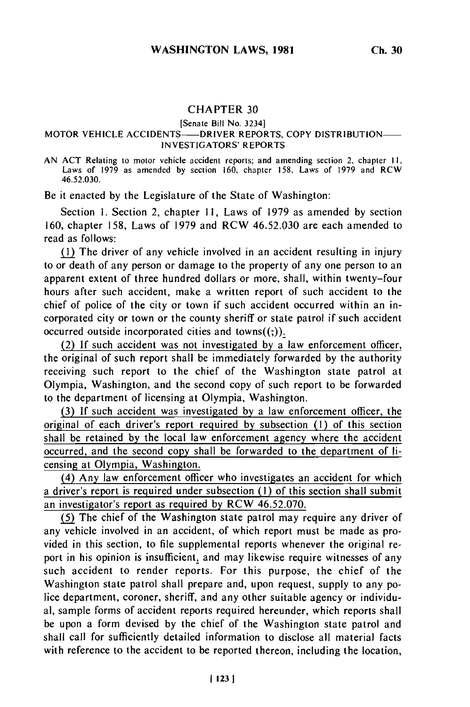## CHAPTER **30**

#### [Senate Bill No. 3234]

#### MOTOR VEHICLE ACCIDENTS---- DRIVER REPORTS, COPY DISTRIBUTION-INVESTIGATORS' REPORTS

AN ACT Relating to motor vehicle accident reports; and amending section **2,** chapter II, Laws of 1979 as amended by section 160, chapter 158, Laws of 1979 and RCW 46.52.030.

Be it enacted by the Legislature of the State of Washington:

Section **1.** Section 2, chapter **11,** Laws of 1979 as amended by section 160, chapter 158, Laws of 1979 and RCW 46.52.030 are each amended to read as follows:

(l) The driver of any vehicle involved in an accident resulting in injury to or death of any person or damage to the property of any one person to an apparent extent of three hundred dollars or more, shall, within twenty-four hours after such accident, make a written report of such accident to the chief of police of the city or town if such accident occurred within an incorporated city or town or the county sheriff or state patrol if such accident occurred outside incorporated cities and towns $((,))$ .

(2) If such accident was not investigated by a law enforcement officer, the original of such report shall be immediately forwarded by the authority receiving such report to the chief of the Washington state patrol at Olympia, Washington, and the second copy of such report to be forwarded to the department of licensing at Olympia, Washington.

(3) **If** such accident was investigated by a law enforcement officer, the original of each driver's report required by subsection **(1)** of this section shall be retained by the local law enforcement agency where the accident occurred, and the second copy shall be forwarded to the department of licensing at Olympia, Washington.

(4) Any law enforcement officer who investigates an accident for which a driver's report is required under subsection **(1)** of this section shall submit an investigator's report as required by RCW 46.52.070.

**(5)** The chief of the Washington state patrol may require any driver of any vehicle involved in an accident, of which report must be made as provided in this section, to file supplemental reports whenever the original report in his opinion is insufficient, and may likewise require witnesses of any such accident to render reports. For this purpose, the chief of the Washington state patrol shall prepare and, upon request, supply to any police department, coroner, sheriff, and any other suitable agency or individual, sample forms of accident reports required hereunder, which reports shall be upon a form devised by the chief of the Washington state patrol and shall call for sufficiently detailed information to disclose all material facts with reference to the accident to be reported thereon, including the location,